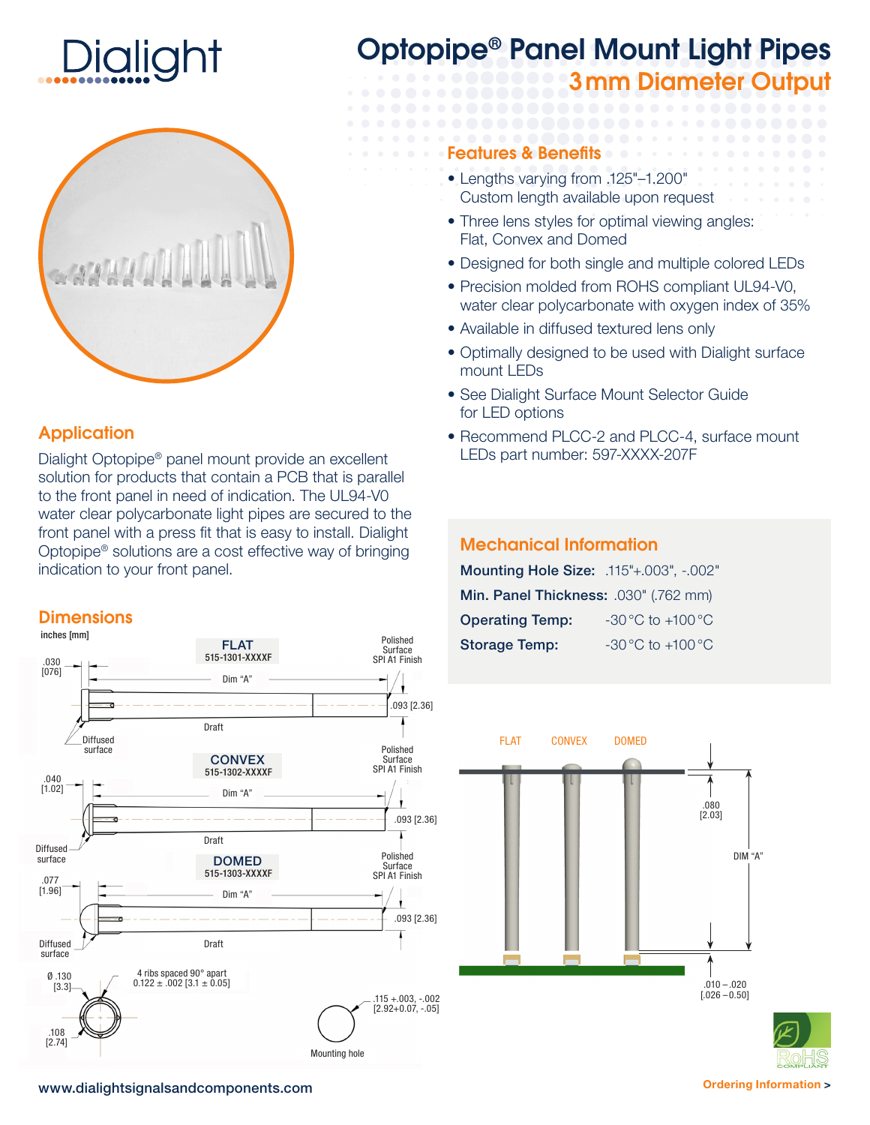



## **Application**

Dialight Optopipe® panel mount provide an excellent solution for products that contain a PCB that is parallel to the front panel in need of indication. The UL94-V0 water clear polycarbonate light pipes are secured to the front panel with a press fit that is easy to install. Dialight Optopipe® solutions are a cost effective way of bringing indication to your front panel.

#### **Dimensions**



# Optopipe® Panel Mount Light Pipes 3mm Diameter Output

#### Features & Benefits

- Lengths varying from .125"–1.200"
- Custom length available upon request
- Three lens styles for optimal viewing angles: Flat, Convex and Domed
- Designed for both single and multiple colored LEDs
- Precision molded from ROHS compliant UL94-V0, water clear polycarbonate with oxygen index of 35%
- Available in diffused textured lens only
- Optimally designed to be used with Dialight surface mount LEDs
- See Dialight Surface Mount Selector Guide for LED options
- Recommend PLCC-2 and PLCC-4, surface mount LEDs part number: 597-XXXX-207F

### Mechanical Information

Mounting Hole Size: .115"+.003", -.002" Min. Panel Thickness: .030" (.762 mm) **Operating Temp:**  $-30^{\circ}$ C to  $+100^{\circ}$ C **Storage Temp:**  $-30^{\circ}$ C to +100 °C